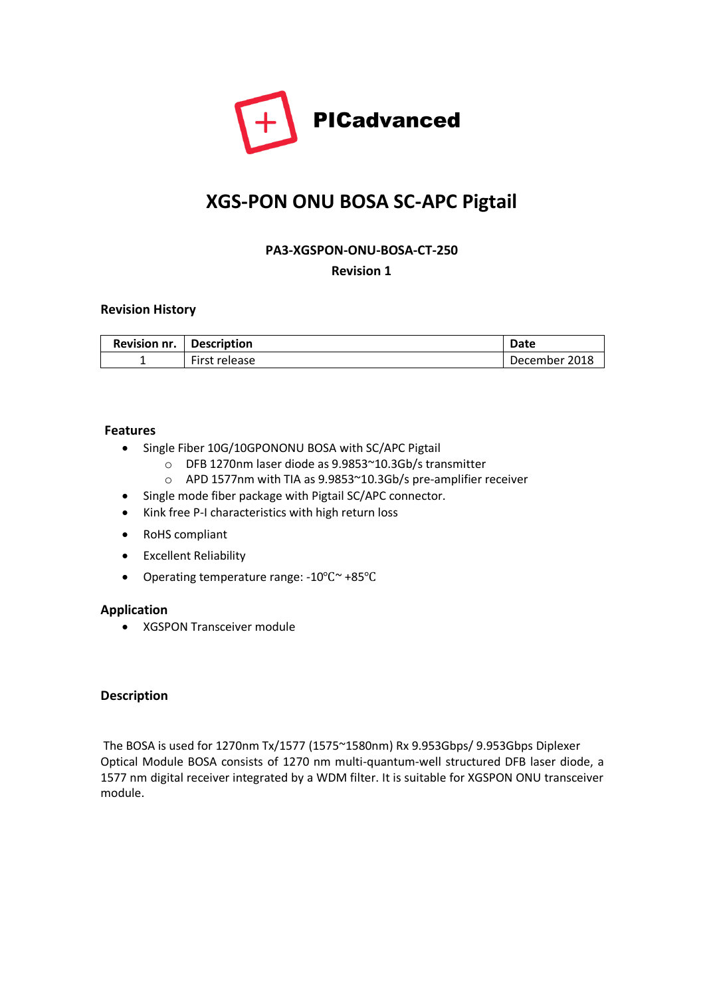

# **XGS-PON ONU BOSA SC-APC Pigtail**

### **PA3-XGSPON-ONU-BOSA-CT-250**

**Revision 1**

### **Revision History**

| Revision nr. | Description   | Date          |
|--------------|---------------|---------------|
|              | First release | December 2018 |

### **Features**

- Single Fiber 10G/10GPONONU BOSA with SC/APC Pigtail
	- o DFB 1270nm laser diode as 9.9853~10.3Gb/s transmitter
	- o APD 1577nm with TIA as 9.9853~10.3Gb/s pre-amplifier receiver
- Single mode fiber package with Pigtail SC/APC connector.
- Kink free P-I characteristics with high return loss
- RoHS compliant
- Excellent Reliability
- Operating temperature range: -10℃~ +85℃

#### **Application**

• XGSPON Transceiver module

#### **Description**

The BOSA is used for 1270nm Tx/1577 (1575~1580nm) Rx 9.953Gbps/ 9.953Gbps Diplexer Optical Module BOSA consists of 1270 nm multi-quantum-well structured DFB laser diode, a 1577 nm digital receiver integrated by a WDM filter. It is suitable for XGSPON ONU transceiver module.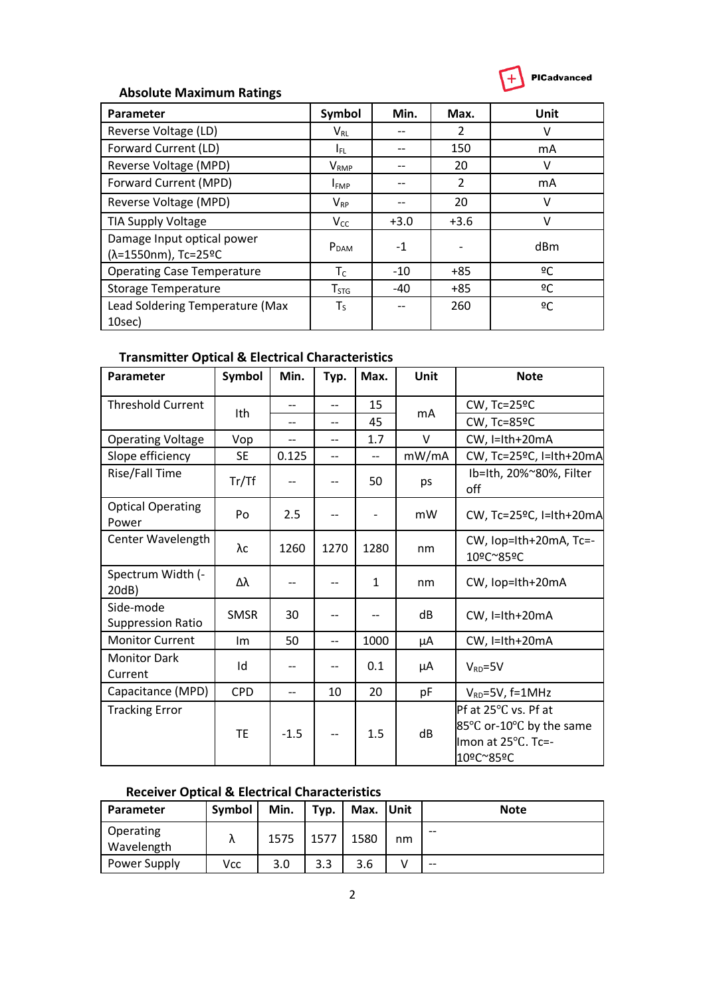

# **Absolute Maximum Ratings**

| Parameter                                         | Symbol            | Min.   | Max.          | Unit |
|---------------------------------------------------|-------------------|--------|---------------|------|
| Reverse Voltage (LD)                              | $V_{RL}$          |        | $\mathcal{P}$ | v    |
| Forward Current (LD)                              | I <sub>EL</sub> . | --     | 150           | mA   |
| Reverse Voltage (MPD)                             | V <sub>RMP</sub>  |        | 20            | v    |
| Forward Current (MPD)                             | I <sub>FMP</sub>  |        | 2             | mA   |
| Reverse Voltage (MPD)                             | $V_{RP}$          |        | 20            | v    |
| TIA Supply Voltage                                | $V_{CC}$          | $+3.0$ | $+3.6$        | v    |
| Damage Input optical power<br>(λ=1550nm), Tc=25°C | P <sub>DAM</sub>  | $-1$   |               | dBm  |
| <b>Operating Case Temperature</b>                 | $T_c$             | $-10$  | $+85$         | ºC   |
| <b>Storage Temperature</b>                        | T <sub>STG</sub>  | $-40$  | $+85$         | ºC   |
| Lead Soldering Temperature (Max<br>10sec)         | $T_S$             |        | 260           | 2C   |

# **Transmitter Optical & Electrical Characteristics**

| Parameter                             | Symbol      | Min.                     | Typ.                     | Max.                     | Unit   | <b>Note</b>                                                                         |
|---------------------------------------|-------------|--------------------------|--------------------------|--------------------------|--------|-------------------------------------------------------------------------------------|
| <b>Threshold Current</b>              | Ith         | --                       | $\overline{\phantom{0}}$ | 15                       |        | CW, Tc=25°C                                                                         |
|                                       |             | --                       | $\overline{\phantom{a}}$ | 45                       | mA     | CW, Tc=85ºC                                                                         |
| <b>Operating Voltage</b>              | Vop         | $\overline{\phantom{a}}$ | $\overline{\phantom{0}}$ | 1.7                      | $\vee$ | CW, I=Ith+20mA                                                                      |
| Slope efficiency                      | <b>SE</b>   | 0.125                    | $\overline{\phantom{a}}$ | $\overline{\phantom{a}}$ | mW/mA  | CW, Tc=25ºC, I=Ith+20mA                                                             |
| Rise/Fall Time                        | Tr/Tf       | $-$                      | $\overline{\phantom{a}}$ | 50                       | ps     | Ib=Ith, 20%~80%, Filter<br>off                                                      |
| <b>Optical Operating</b><br>Power     | Po          | 2.5                      | $\overline{\phantom{a}}$ | $\overline{\phantom{a}}$ | mW     | CW, Tc=25ºC, I=Ith+20mA                                                             |
| Center Wavelength                     | $\lambda c$ | 1260                     | 1270                     | 1280                     | nm     | CW, Iop=Ith+20mA, Tc=-<br>10ºC~85ºC                                                 |
| Spectrum Width (-<br>20dB)            | Δλ          | --                       |                          | $\mathbf{1}$             | nm     | CW, Iop=Ith+20mA                                                                    |
| Side-mode<br><b>Suppression Ratio</b> | <b>SMSR</b> | 30                       | $\overline{a}$           | $-$                      | dB     | CW, I=Ith+20mA                                                                      |
| <b>Monitor Current</b>                | Im          | 50                       | $-$                      | 1000                     | μA     | CW, I=Ith+20mA                                                                      |
| <b>Monitor Dark</b><br>Current        | Id          | --                       | $\overline{a}$           | 0.1                      | μA     | $V_{RD} = 5V$                                                                       |
| Capacitance (MPD)                     | <b>CPD</b>  | --                       | 10                       | 20                       | pF     | $V_{RD} = 5V$ , f=1MHz                                                              |
| <b>Tracking Error</b>                 | <b>TE</b>   | $-1.5$                   | --                       | 1.5                      | dB     | Pf at 25°C vs. Pf at<br>85°C or-10°C by the same<br>Imon at 25°C. Tc=-<br>10ºC~85ºC |

### **Receiver Optical & Electrical Characteristics**

| Parameter               | Symbol | Min. | Typ. | Max. Unit |    | <b>Note</b> |
|-------------------------|--------|------|------|-----------|----|-------------|
| Operating<br>Wavelength |        | 1575 | 1577 | 1580      | nm | --          |
| Power Supply            | Vcc    | 3.0  | 3.3  | 3.6       |    | $- -$       |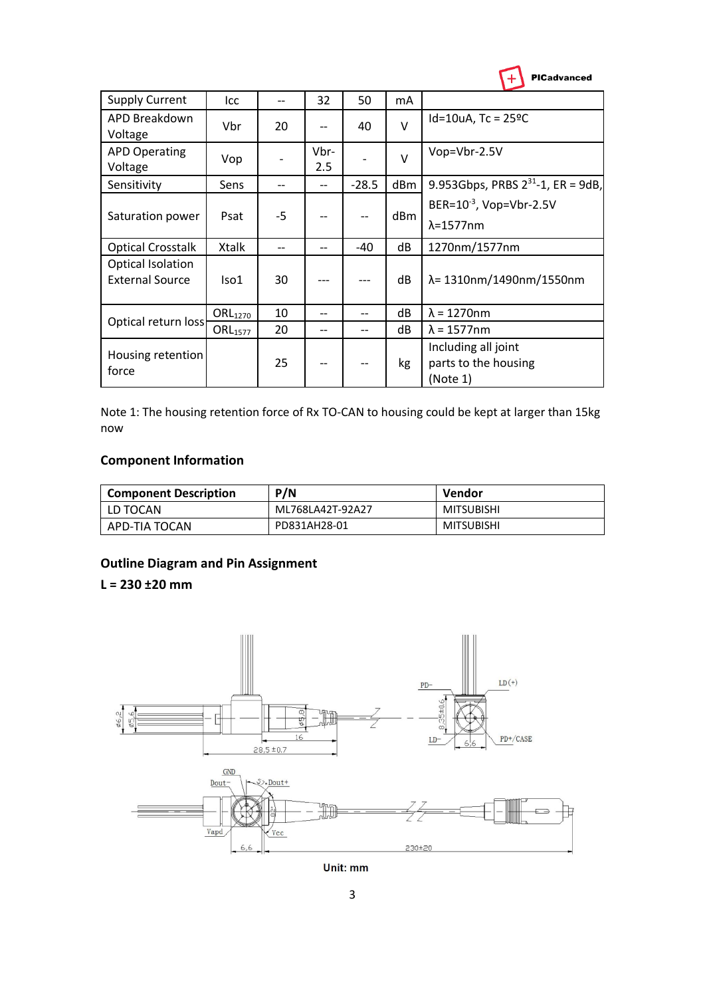

| <b>Supply Current</b>                              | Icc                 |      | 32          | 50      | mA     |                                                          |
|----------------------------------------------------|---------------------|------|-------------|---------|--------|----------------------------------------------------------|
| APD Breakdown<br>Voltage                           | <b>Vbr</b>          | 20   |             | 40      | $\vee$ | $Id=10uA$ , Tc = 25°C                                    |
| <b>APD Operating</b><br>Voltage                    | Vop                 |      | Vbr-<br>2.5 |         | $\vee$ | Vop=Vbr-2.5V                                             |
| Sensitivity                                        | Sens                |      |             | $-28.5$ | dBm    | 9.953Gbps, PRBS $2^{31}$ -1, ER = 9dB,                   |
| Saturation power                                   | Psat                | $-5$ |             |         | dBm    | BER=10 <sup>-3</sup> , Vop=Vbr-2.5V<br>$\lambda$ =1577nm |
| <b>Optical Crosstalk</b>                           | Xtalk               |      |             | $-40$   | dB     | 1270nm/1577nm                                            |
| <b>Optical Isolation</b><br><b>External Source</b> | Iso1                | 30   |             |         | dB     | λ= 1310nm/1490nm/1550nm                                  |
| Optical return loss                                | <b>ORL</b> 1270     | 10   |             | --      | dB     | $\lambda = 1270$ nm                                      |
|                                                    | ORL <sub>1577</sub> | 20   | --          |         | dB     | $\lambda$ = 1577nm                                       |
| Housing retention<br>force                         |                     | 25   |             |         | kg     | Including all joint<br>parts to the housing<br>(Note 1)  |

Note 1: The housing retention force of Rx TO-CAN to housing could be kept at larger than 15kg now

### **Component Information**

| <b>Component Description</b> | P/N              | Vendor            |
|------------------------------|------------------|-------------------|
| LD TOCAN                     | ML768LA42T-92A27 | <b>MITSUBISHI</b> |
| APD-TIA TOCAN                | PD831AH28-01     | <b>MITSUBISHI</b> |

## **Outline Diagram and Pin Assignment**

**L = 230 ±20 mm**



Unit: mm